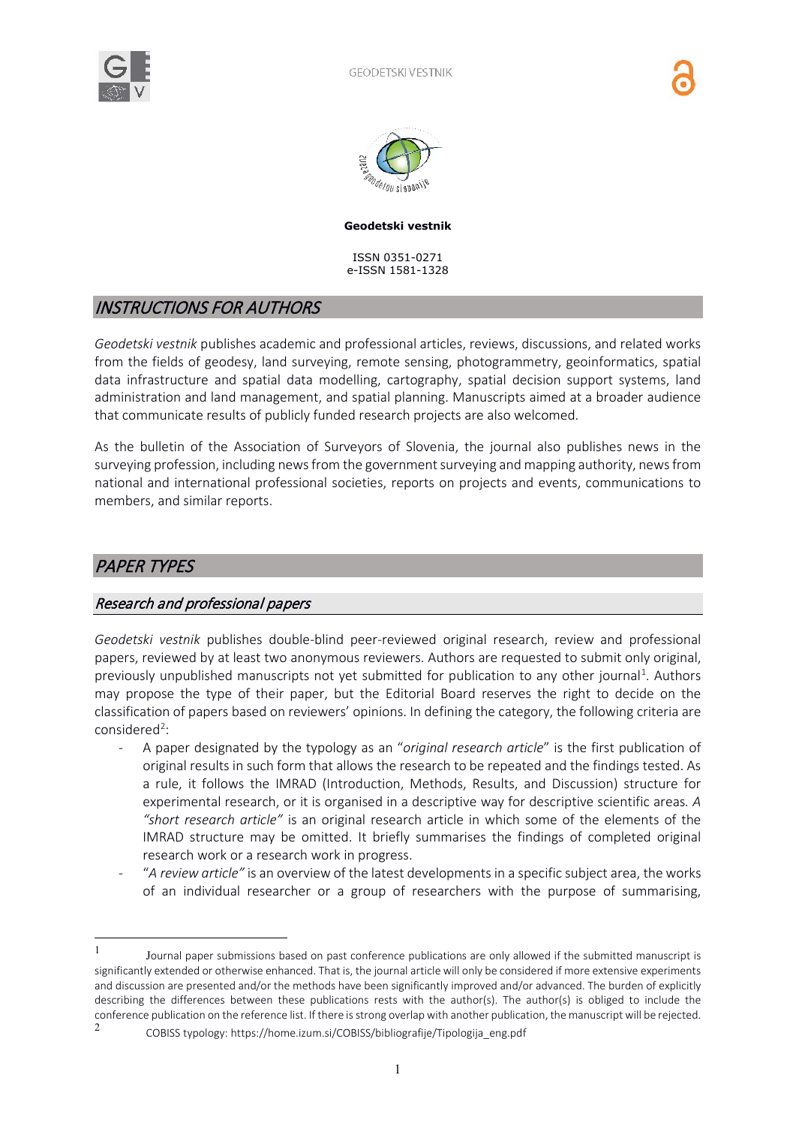



#### **Geodetski vestnik**

ISSN 0351-0271 e-ISSN 1581-1328

## INSTRUCTIONS FOR AUTHORS

*Geodetski vestnik* publishes academic and professional articles, reviews, discussions, and related works from the fields of geodesy, land surveying, remote sensing, photogrammetry, geoinformatics, spatial data infrastructure and spatial data modelling, cartography, spatial decision support systems, land administration and land management, and spatial planning. Manuscripts aimed at a broader audience that communicate results of publicly funded research projects are also welcomed.

As the bulletin of the Association of Surveyors of Slovenia, the journal also publishes news in the surveying profession, including news from the government surveying and mapping authority, news from national and international professional societies, reports on projects and events, communications to members, and similar reports.

# PAPER TYPES

#### Research and professional papers

*Geodetski vestnik* publishes double-blind peer-reviewed original research, review and professional papers, reviewed by at least two anonymous reviewers. Authors are requested to submit only original, previously unpublished manuscripts not yet submitted for publication to any other journal<sup>[1](#page-0-0)</sup>. Authors may propose the type of their paper, but the Editorial Board reserves the right to decide on the classification of papers based on reviewers' opinions. In defining the category, the following criteria are considered<sup>[2](#page-0-1)</sup>:

- A paper designated by the typology as an "*original research article*" is the first publication of original results in such form that allows the research to be repeated and the findings tested. As a rule, it follows the IMRAD (Introduction, Methods, Results, and Discussion) structure for experimental research, or it is organised in a descriptive way for descriptive scientific areas*. A "short research article"* is an original research article in which some of the elements of the IMRAD structure may be omitted. It briefly summarises the findings of completed original research work or a research work in progress.
- "*A review article"* is an overview of the latest developments in a specific subject area, the works of an individual researcher or a group of researchers with the purpose of summarising,

<span id="page-0-0"></span> $1 - 1$  Journal paper submissions based on past conference publications are only allowed if the submitted manuscript is significantly extended or otherwise enhanced. That is, the journal article will only be considered if more extensive experiments and discussion are presented and/or the methods have been significantly improved and/or advanced. The burden of explicitly describing the differences between these publications rests with the author(s). The author(s) is obliged to include the conference publication on the reference list. If there is strong overlap with another publication, the manuscript will be rejected.

<span id="page-0-1"></span><sup>2</sup> COBISS typology: https://home.izum.si/COBISS/bibliografije/Tipologija\_eng.pdf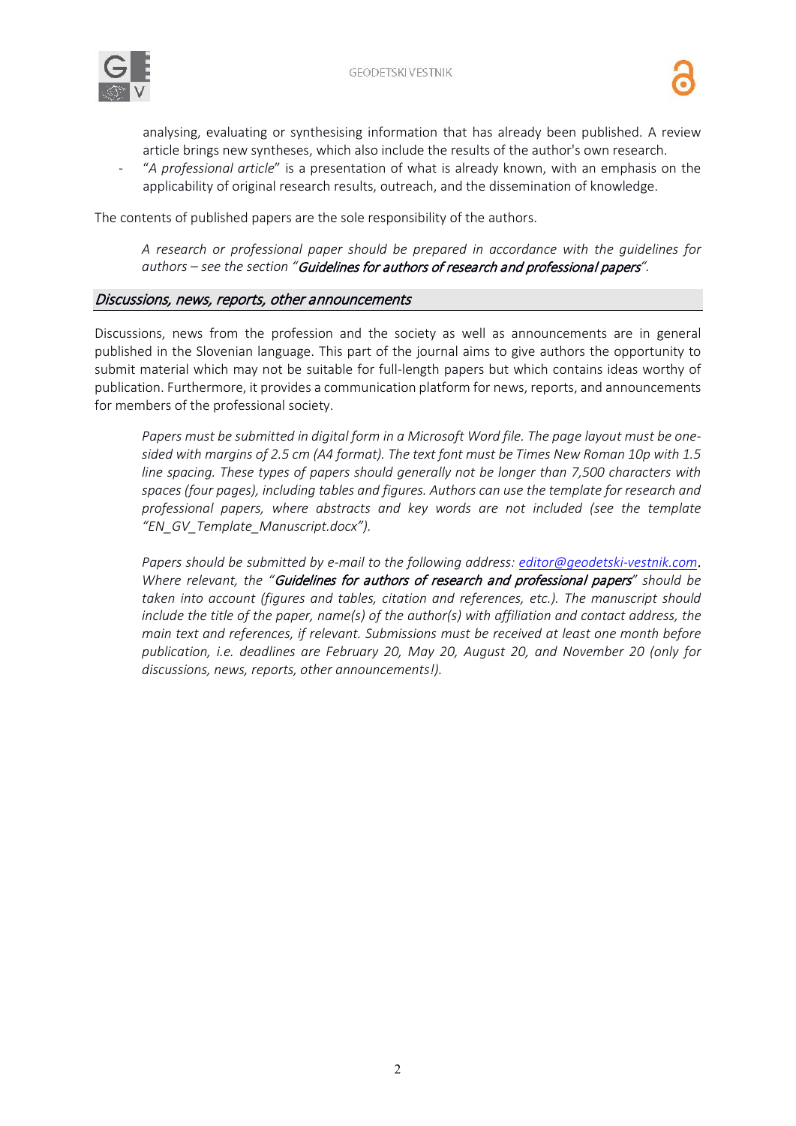

analysing, evaluating or synthesising information that has already been published. A review article brings new syntheses, which also include the results of the author's own research.

"A professional article" is a presentation of what is already known, with an emphasis on the applicability of original research results, outreach, and the dissemination of knowledge.

The contents of published papers are the sole responsibility of the authors.

*A research or professional paper should be prepared in accordance with the guidelines for authors – see the section "*Guidelines for authors of research and professional papers*".*

#### Discussions, news, reports, other announcements

Discussions, news from the profession and the society as well as announcements are in general published in the Slovenian language. This part of the journal aims to give authors the opportunity to submit material which may not be suitable for full-length papers but which contains ideas worthy of publication. Furthermore, it provides a communication platform for news, reports, and announcements for members of the professional society.

*Papers must be submitted in digital form in a Microsoft Word file. The page layout must be onesided with margins of 2.5 cm (A4 format). The text font must be Times New Roman 10p with 1.5 line spacing. These types of papers should generally not be longer than 7,500 characters with spaces (four pages), including tables and figures. Authors can use the template for research and professional papers, where abstracts and key words are not included (see the template "EN\_GV\_Template\_Manuscript.docx").*

*Papers should be submitted by e-mail to the following address: [editor@geodetski-vestnik.com](mailto:editor@geodetski-vestnik.com)*. *Where relevant, the "*Guidelines for authors of research and professional papers*" should be taken into account (figures and tables, citation and references, etc.). The manuscript should include the title of the paper, name(s) of the author(s) with affiliation and contact address, the main text and references, if relevant. Submissions must be received at least one month before publication, i.e. deadlines are February 20, May 20, August 20, and November 20 (only for discussions, news, reports, other announcements!).*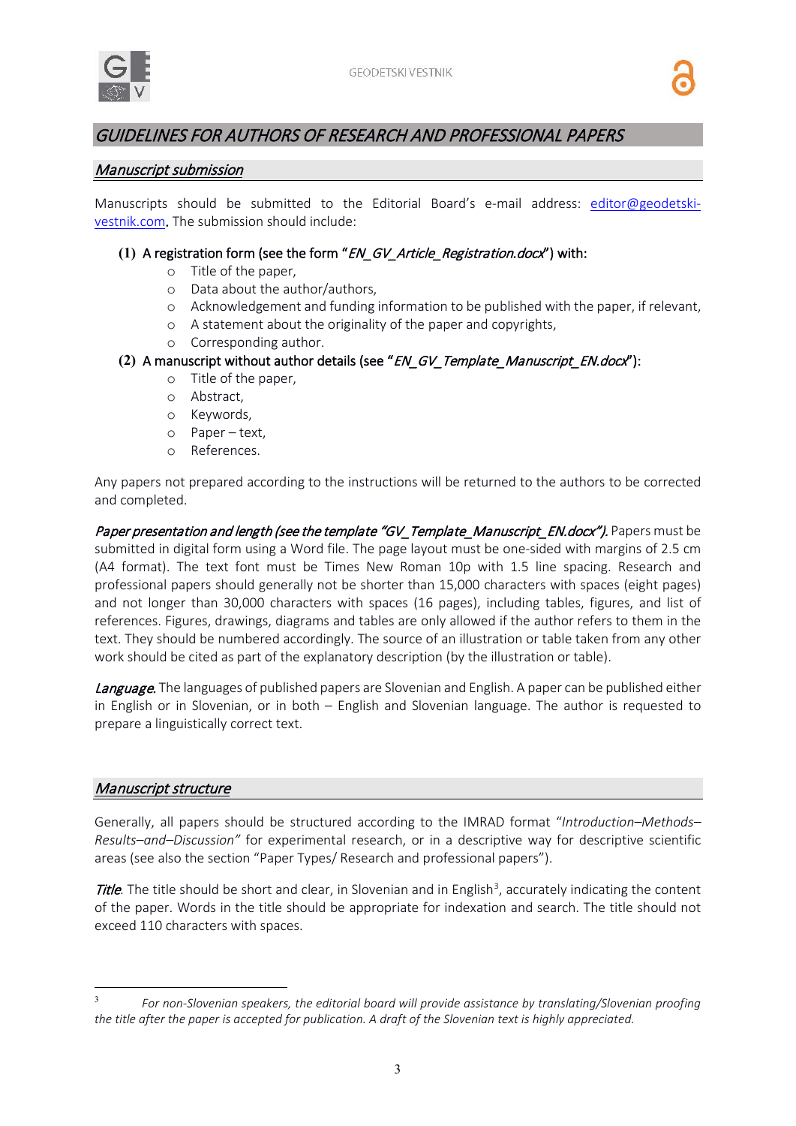

# GUIDELINES FOR AUTHORS OF RESEARCH AND PROFESSIONAL PAPERS

### Manuscript submission

Manuscripts should be submitted to the Editorial Board's e-mail address: [editor@geodetski](mailto:editor@geodetski-vestnik.com)[vestnik.com.](mailto:editor@geodetski-vestnik.com) The submission should include:

### **(1)** A registration form (see the form "EN\_GV\_Article\_Registration.docx") with:

- o Title of the paper,
- o Data about the author/authors,
- o Acknowledgement and funding information to be published with the paper, if relevant,
- o A statement about the originality of the paper and copyrights,
- o Corresponding author.

## **(2)** A manuscript without author details (see "EN\_GV\_Template\_Manuscript\_EN.docx"):

- o Title of the paper,
- o Abstract,
- o Keywords,
- o Paper text,
- o References.

Any papers not prepared according to the instructions will be returned to the authors to be corrected and completed.

Paper presentation and length (see the template "GV\_Template\_Manuscript\_EN.docx"). Papers must be submitted in digital form using a Word file. The page layout must be one-sided with margins of 2.5 cm (A4 format). The text font must be Times New Roman 10p with 1.5 line spacing. Research and professional papers should generally not be shorter than 15,000 characters with spaces (eight pages) and not longer than 30,000 characters with spaces (16 pages), including tables, figures, and list of references. Figures, drawings, diagrams and tables are only allowed if the author refers to them in the text. They should be numbered accordingly. The source of an illustration or table taken from any other work should be cited as part of the explanatory description (by the illustration or table).

Language. The languages of published papers are Slovenian and English. A paper can be published either in English or in Slovenian, or in both – English and Slovenian language. The author is requested to prepare a linguistically correct text.

#### Manuscript structure

Generally, all papers should be structured according to the IMRAD format "*Introduction–Methods– Results–and–Discussion"* for experimental research, or in a descriptive way for descriptive scientific areas (see also the section "Paper Types/ Research and professional papers").

Title. The title should be short and clear, in Slovenian and in English<sup>[3](#page-2-0)</sup>, accurately indicating the content of the paper. Words in the title should be appropriate for indexation and search. The title should not exceed 110 characters with spaces.

<span id="page-2-0"></span><sup>3</sup> *For non-Slovenian speakers, the editorial board will provide assistance by translating/Slovenian proofing the title after the paper is accepted for publication. A draft of the Slovenian text is highly appreciated.*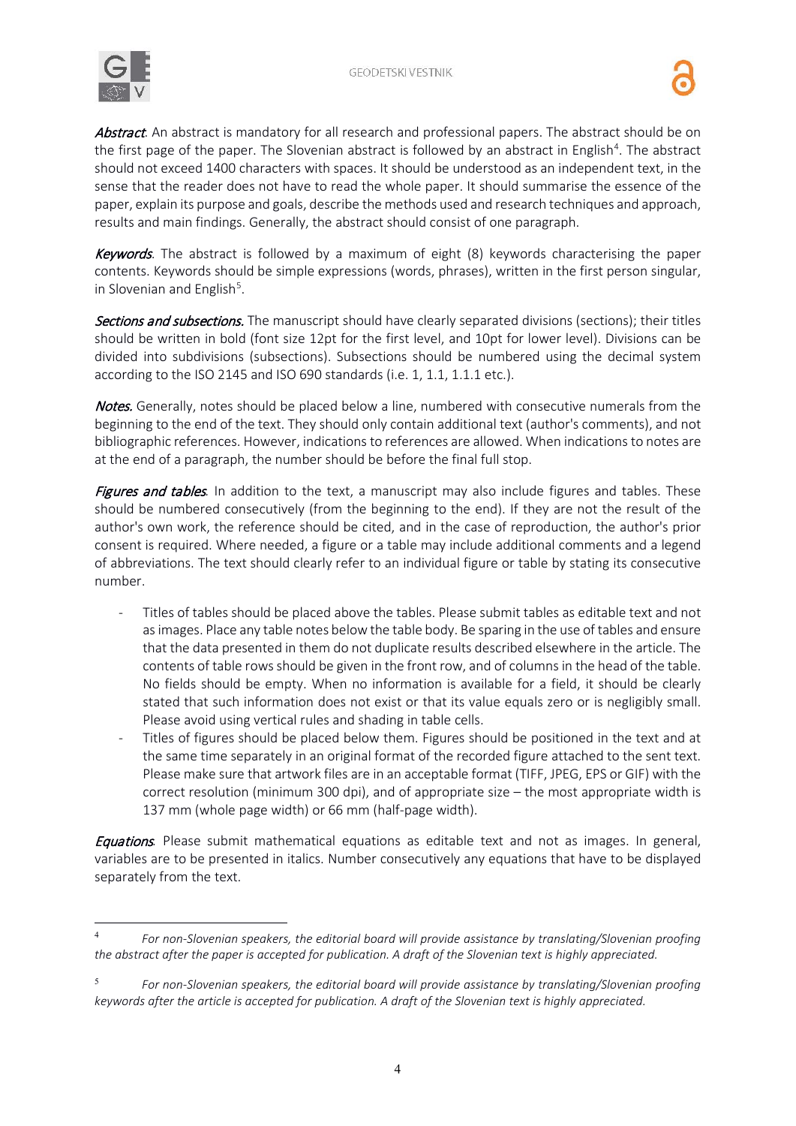

Abstract. An abstract is mandatory for all research and professional papers. The abstract should be on the first page of the paper. The Slovenian abstract is followed by an abstract in English<sup>4</sup>. The abstract should not exceed 1400 characters with spaces. It should be understood as an independent text, in the sense that the reader does not have to read the whole paper. It should summarise the essence of the paper, explain its purpose and goals, describe the methods used and research techniques and approach, results and main findings. Generally, the abstract should consist of one paragraph.

Keywords. The abstract is followed by a maximum of eight (8) keywords characterising the paper contents. Keywords should be simple expressions (words, phrases), written in the first person singular, in Slovenian and English<sup>[5](#page-3-1)</sup>.

Sections and subsections. The manuscript should have clearly separated divisions (sections); their titles should be written in bold (font size 12pt for the first level, and 10pt for lower level). Divisions can be divided into subdivisions (subsections). Subsections should be numbered using the decimal system according to the ISO 2145 and ISO 690 standards (i.e. 1, 1.1, 1.1.1 etc.).

Notes. Generally, notes should be placed below a line, numbered with consecutive numerals from the beginning to the end of the text. They should only contain additional text (author's comments), and not bibliographic references. However, indications to references are allowed. When indications to notes are at the end of a paragraph, the number should be before the final full stop.

Figures and tables*.* In addition to the text, a manuscript may also include figures and tables. These should be numbered consecutively (from the beginning to the end). If they are not the result of the author's own work, the reference should be cited, and in the case of reproduction, the author's prior consent is required. Where needed, a figure or a table may include additional comments and a legend of abbreviations. The text should clearly refer to an individual figure or table by stating its consecutive number.

- Titles of tables should be placed above the tables. Please submit tables as editable text and not as images. Place any table notes below the table body. Be sparing in the use of tables and ensure that the data presented in them do not duplicate results described elsewhere in the article. The contents of table rows should be given in the front row, and of columns in the head of the table. No fields should be empty. When no information is available for a field, it should be clearly stated that such information does not exist or that its value equals zero or is negligibly small. Please avoid using vertical rules and shading in table cells.
- Titles of figures should be placed below them. Figures should be positioned in the text and at the same time separately in an original format of the recorded figure attached to the sent text. Please make sure that artwork files are in an acceptable format (TIFF, JPEG, EPS or GIF) with the correct resolution (minimum 300 dpi), and of appropriate size – the most appropriate width is 137 mm (whole page width) or 66 mm (half-page width).

Equations*.* Please submit mathematical equations as editable text and not as images. In general, variables are to be presented in italics. Number consecutively any equations that have to be displayed separately from the text.

<span id="page-3-0"></span><sup>4</sup> *For non-Slovenian speakers, the editorial board will provide assistance by translating/Slovenian proofing the abstract after the paper is accepted for publication. A draft of the Slovenian text is highly appreciated.*

<span id="page-3-1"></span><sup>5</sup> *For non-Slovenian speakers, the editorial board will provide assistance by translating/Slovenian proofing keywords after the article is accepted for publication. A draft of the Slovenian text is highly appreciated.*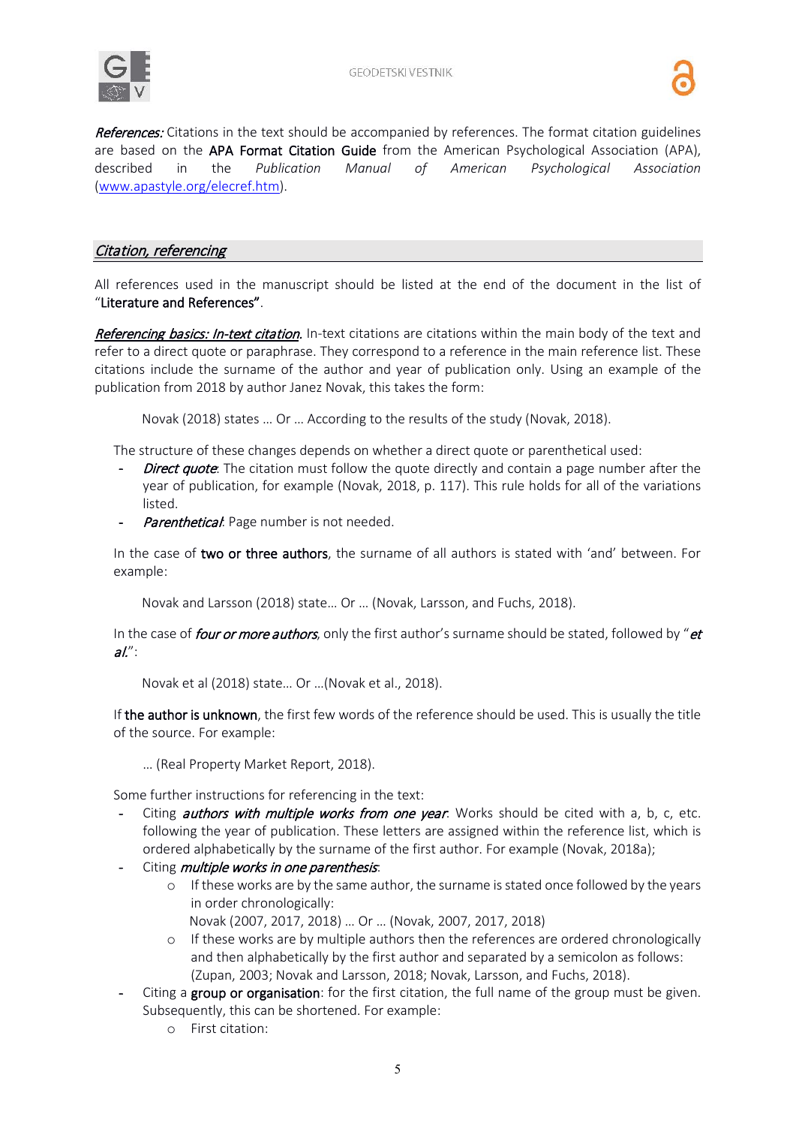

References: Citations in the text should be accompanied by references. The format citation guidelines are based on the APA Format Citation Guide from the American Psychological Association (APA), described in the *Publication Manual of American Psychological Association* [\(www.apastyle.org/elecref.htm\)](http://www.apastyle.org/elecref.htm).

## Citation, referencing

All references used in the manuscript should be listed at the end of the document in the list of "Literature and References".

Referencing basics: In-text citation. In-text citations are citations within the main body of the text and refer to a direct quote or paraphrase. They correspond to a reference in the main reference list. These citations include the surname of the author and year of publication only. Using an example of the publication from 2018 by author Janez Novak, this takes the form:

Novak (2018) states … Or … According to the results of the study (Novak, 2018).

The structure of these changes depends on whether a direct quote or parenthetical used:

- **Direct quote**: The citation must follow the quote directly and contain a page number after the year of publication, for example (Novak, 2018, p. 117). This rule holds for all of the variations listed.
- Parenthetical: Page number is not needed.

In the case of two or three authors, the surname of all authors is stated with 'and' between. For example:

Novak and Larsson (2018) state… Or … (Novak, Larsson, and Fuchs, 2018).

In the case of *four or more authors*, only the first author's surname should be stated, followed by "*et*  $al''$ :

Novak et al (2018) state… Or …(Novak et al., 2018).

If the author is unknown, the first few words of the reference should be used. This is usually the title of the source. For example:

… (Real Property Market Report, 2018).

Some further instructions for referencing in the text:

- Citing *authors with multiple works from one year*: Works should be cited with a, b, c, etc. following the year of publication. These letters are assigned within the reference list, which is ordered alphabetically by the surname of the first author. For example (Novak, 2018a);
- Citing *multiple works in one parenthesis*:
	- $\circ$  If these works are by the same author, the surname is stated once followed by the years in order chronologically:
		- Novak (2007, 2017, 2018) … Or … (Novak, 2007, 2017, 2018)
	- o If these works are by multiple authors then the references are ordered chronologically and then alphabetically by the first author and separated by a semicolon as follows: (Zupan, 2003; Novak and Larsson, 2018; Novak, Larsson, and Fuchs, 2018).
- Citing a group or organisation: for the first citation, the full name of the group must be given. Subsequently, this can be shortened. For example:
	- o First citation: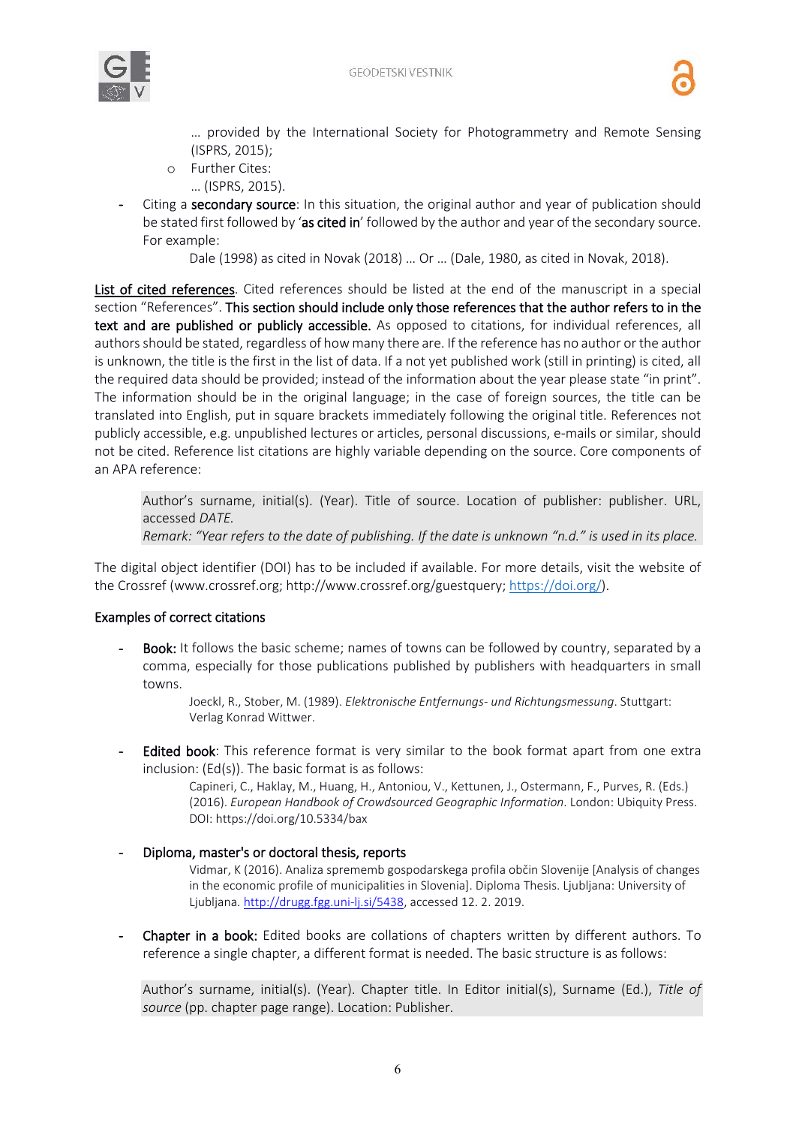



… provided by the International Society for Photogrammetry and Remote Sensing (ISPRS, 2015);

- o Further Cites:
- … (ISPRS, 2015).
- Citing a secondary source: In this situation, the original author and year of publication should be stated first followed by 'as cited in' followed by the author and year of the secondary source. For example:

Dale (1998) as cited in Novak (2018) … Or … (Dale, 1980, as cited in Novak, 2018).

List of cited references. Cited references should be listed at the end of the manuscript in a special section "References". This section should include only those references that the author refers to in the text and are published or publicly accessible. As opposed to citations, for individual references, all authors should be stated, regardless of how many there are. If the reference has no author or the author is unknown, the title is the first in the list of data. If a not yet published work (still in printing) is cited, all the required data should be provided; instead of the information about the year please state "in print". The information should be in the original language; in the case of foreign sources, the title can be translated into English, put in square brackets immediately following the original title. References not publicly accessible, e.g. unpublished lectures or articles, personal discussions, e-mails or similar, should not be cited. Reference list citations are highly variable depending on the source. Core components of an APA reference:

Author's surname, initial(s). (Year). Title of source. Location of publisher: publisher. URL, accessed *DATE.*

*Remark: "Year refers to the date of publishing. If the date is unknown "n.d." is used in its place.*

The digital object identifier (DOI) has to be included if available. For more details, visit the website of the Crossref (www.crossref.org; http://www.crossref.org/guestquery; [https://doi.org/\)](https://doi.org/).

#### Examples of correct citations

Book: It follows the basic scheme; names of towns can be followed by country, separated by a comma, especially for those publications published by publishers with headquarters in small towns.

> Joeckl, R., Stober, M. (1989). *Elektronische Entfernungs- und Richtungsmessung*. Stuttgart: Verlag Konrad Wittwer.

Edited book: This reference format is very similar to the book format apart from one extra inclusion: (Ed(s)). The basic format is as follows:

Capineri, C., Haklay, M., Huang, H., Antoniou, V., Kettunen, J., Ostermann, F., Purves, R. (Eds.) (2016). *European Handbook of Crowdsourced Geographic Information*. London: Ubiquity Press. DOI: https://doi.org/10.5334/bax

#### - Diploma, master's or doctoral thesis, reports

Vidmar, K (2016). Analiza sprememb gospodarskega profila občin Slovenije [Analysis of changes in the economic profile of municipalities in Slovenia]. Diploma Thesis. Ljubljana: University of Ljubljana. [http://drugg.fgg.uni-lj.si/5438,](http://drugg.fgg.uni-lj.si/5438/) accessed 12. 2. 2019.

Chapter in a book: Edited books are collations of chapters written by different authors. To reference a single chapter, a different format is needed. The basic structure is as follows:

Author's surname, initial(s). (Year). Chapter title. In Editor initial(s), Surname (Ed.), *Title of source* (pp. chapter page range). Location: Publisher.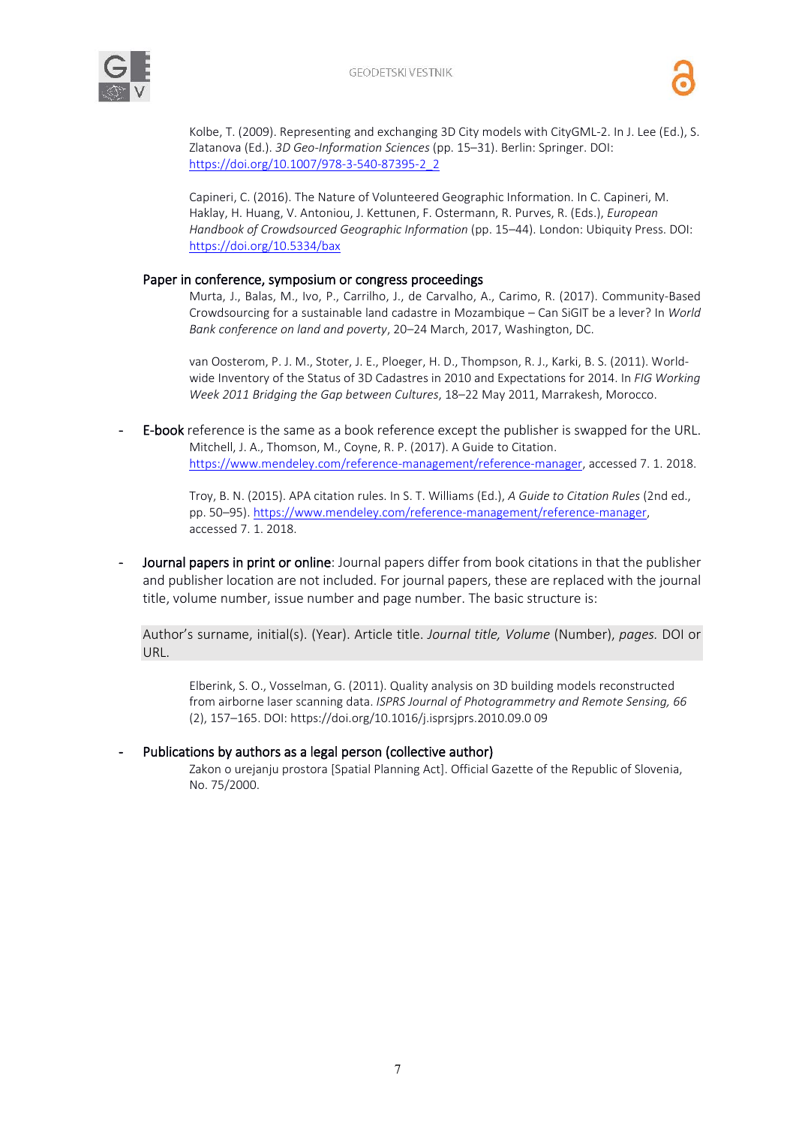



Kolbe, T. (2009). Representing and exchanging 3D City models with CityGML-2. In J. Lee (Ed.), S. Zlatanova (Ed.). *3D Geo-Information Sciences* (pp. 15–31). Berlin: Springer. DOI: https://doi.org[/10.1007/978-3-540-87395-2\\_2](http://dx.doi.org/10.1007/978-3-540-87395-2_2)

Capineri, C. (2016). The Nature of Volunteered Geographic Information. In C. Capineri, M. Haklay, H. Huang, V. Antoniou, J. Kettunen, F. Ostermann, R. Purves, R. (Eds.), *European Handbook of Crowdsourced Geographic Information* (pp. 15–44). London: Ubiquity Press. DOI: <https://doi.org/10.5334/bax>

#### Paper in conference, symposium or congress proceedings

Murta, J., Balas, M., Ivo, P., Carrilho, J., de Carvalho, A., Carimo, R. (2017). Community-Based Crowdsourcing for a sustainable land cadastre in Mozambique – Can SiGIT be a lever? In *World Bank conference on land and poverty*, 20–24 March, 2017, Washington, DC.

van Oosterom, P. J. M., Stoter, J. E., Ploeger, H. D., Thompson, R. J., Karki, B. S. (2011). Worldwide Inventory of the Status of 3D Cadastres in 2010 and Expectations for 2014. In *FIG Working Week 2011 Bridging the Gap between Cultures*, 18–22 May 2011, Marrakesh, Morocco.

E-book reference is the same as a book reference except the publisher is swapped for the URL. Mitchell, J. A., Thomson, M., Coyne, R. P. (2017). A Guide to Citation. [https://www.mendeley.com/reference-management/reference-manager,](https://www.mendeley.com/reference-management/reference-manager) accessed 7. 1. 2018.

> Troy, B. N. (2015). APA citation rules. In S. T. Williams (Ed.), *A Guide to Citation Rules* (2nd ed., pp. 50–95)[. https://www.mendeley.com/reference-management/reference-manager,](https://www.mendeley.com/reference-management/reference-manager) accessed 7. 1. 2018.

Journal papers in print or online: Journal papers differ from book citations in that the publisher and publisher location are not included. For journal papers, these are replaced with the journal title, volume number, issue number and page number. The basic structure is:

Author's surname, initial(s). (Year). Article title. *Journal title, Volume* (Number), *pages.* DOI or URL.

Elberink, S. O., Vosselman, G. (2011). Quality analysis on 3D building models reconstructed from airborne laser scanning data. *ISPRS Journal of Photogrammetry and Remote Sensing, 66* (2), 157–165. DOI: https://doi.org/10.1016/j.isprsjprs.2010.09.0 09

#### Publications by authors as a legal person (collective author)

Zakon o urejanju prostora [Spatial Planning Act]. Official Gazette of the Republic of Slovenia, No. 75/2000.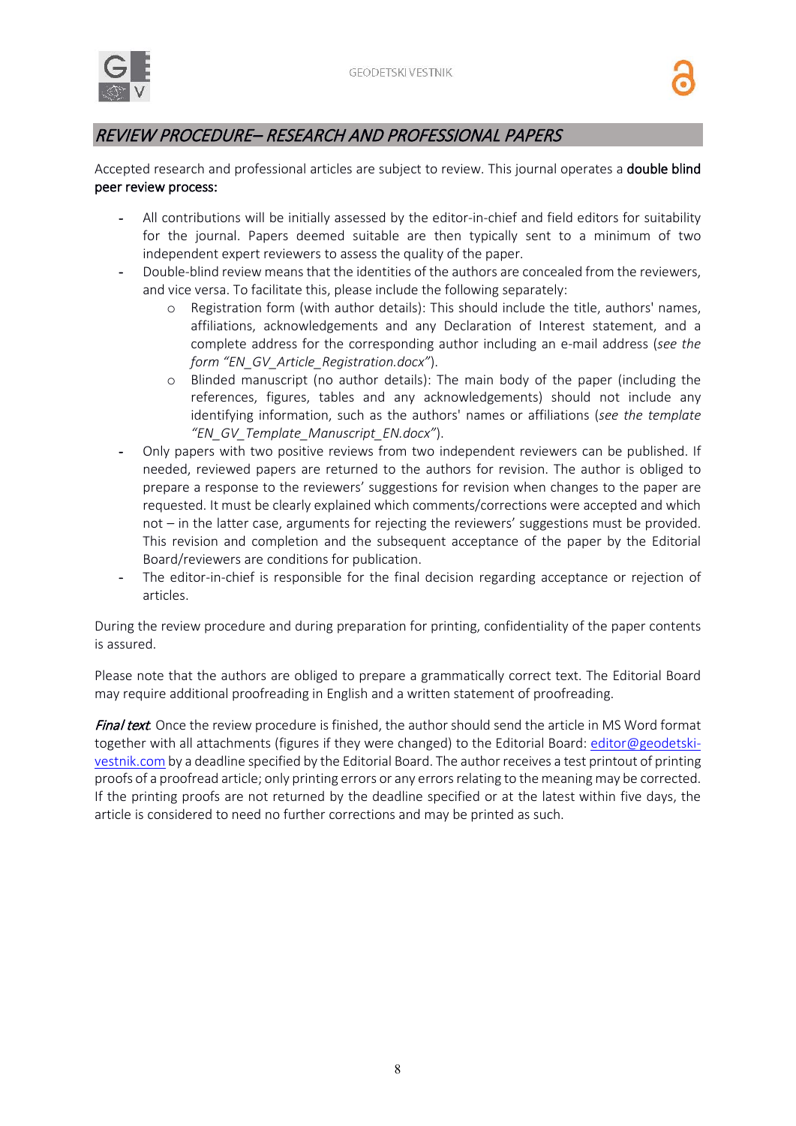

# REVIEW PROCEDURE– RESEARCH AND PROFESSIONAL PAPERS

Accepted research and professional articles are subject to review. This journal operates a **double blind** peer review process:

- All contributions will be initially assessed by the editor-in-chief and field editors for suitability for the journal. Papers deemed suitable are then typically sent to a minimum of two independent expert reviewers to assess the quality of the paper.
- Double-blind review means that the identities of the authors are concealed from the reviewers, and vice versa. To facilitate this, please include the following separately:
	- o Registration form (with author details): This should include the title, authors' names, affiliations, acknowledgements and any Declaration of Interest statement, and a complete address for the corresponding author including an e-mail address (*see the form "EN\_GV\_Article\_Registration.docx"*).
	- o Blinded manuscript (no author details): The main body of the paper (including the references, figures, tables and any acknowledgements) should not include any identifying information, such as the authors' names or affiliations (*see the template "EN\_GV\_Template\_Manuscript\_EN.docx"*).
- Only papers with two positive reviews from two independent reviewers can be published. If needed, reviewed papers are returned to the authors for revision. The author is obliged to prepare a response to the reviewers' suggestions for revision when changes to the paper are requested. It must be clearly explained which comments/corrections were accepted and which not – in the latter case, arguments for rejecting the reviewers' suggestions must be provided. This revision and completion and the subsequent acceptance of the paper by the Editorial Board/reviewers are conditions for publication.
- The editor-in-chief is responsible for the final decision regarding acceptance or rejection of articles.

During the review procedure and during preparation for printing, confidentiality of the paper contents is assured.

Please note that the authors are obliged to prepare a grammatically correct text. The Editorial Board may require additional proofreading in English and a written statement of proofreading.

Final text*.* Once the review procedure is finished, the author should send the article in MS Word format together with all attachments (figures if they were changed) to the Editorial Board: [editor@geodetski](mailto:editor@geodetski-vestnik.comm)[vestnik.com](mailto:editor@geodetski-vestnik.comm) by a deadline specified by the Editorial Board. The author receives a test printout of printing proofs of a proofread article; only printing errors or any errors relating to the meaning may be corrected. If the printing proofs are not returned by the deadline specified or at the latest within five days, the article is considered to need no further corrections and may be printed as such.